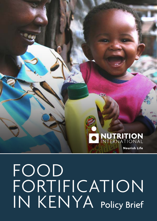# O NUTRITION **Nourish Life**

FOOD FORTIFICATION IN KENYA Policy Brief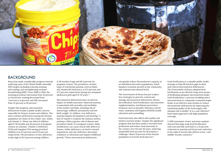

## BACKGROUND

Kenya has made considerable progress towards achieving some of the World Health Assembly 2025 targets including reducing stunting and wasting, and strengthening exclusive breastfeeding (EBF).<sup>1</sup> From 2008 to 2014, the stunting prevalence decreased from 35 percent to 26 percent; wasting decreased from 7 percent to 4 percent; and EBF increased from 32 percent to 61 percent.2

Despite this progress, micronutrient deficiencies remain a public health concern, especially for Kenya's women and children. The most common deficiencies among the Kenyan population are those of iron, folate, zinc, iodine and vitamin A.3 About one third of children aged 6-59 months and 42 percent of pregnant women are anaemic. Vitamin A Deficiency (VAD) and marginal VAD among preschool children is at 9.2 percent and 52.6 percent, respectively. The prevalence of zinc deficiency is also high at 83.3 percent among children

6-59 months of age and 68.3 percent for pregnant women. The prevalence of other types of nutritional anaemia, such as folate and vitamin B12 deficiency, is 31.5 percent and 47.7 percent respectively among non-pregnant adolescent girls aged 15–19 years.3,4

Micronutrient deficiencies have an adverse impact on health outcomes. Maternal anaemia is associated with mortality and morbidity of the mother and baby, including risk of miscarriage, stillbirth, prematurity and low birth weight.<sup>5</sup> In children, iron deficiency anaemia impairs development and learning.6 A lack of vitamin A weakens the immune system, putting a child at greater risk of disease and premature death. For pregnant women, folate insufficiency can cause neural tube defects in fetuses. Iodine deficiency can lead to mental impairment, and zinc deficiency decreases resistance to infections and impairs childhood growth.6 These micronutrient deficiencies

can greatly reduce the productive capacity of an individual and entire populations, which hampers economic growth at the community, sub-national and national levels.

The Government of Kenya has put in place four strategies to prevent, control and manage micronutrient deficiencies: dietary diversification, food fortification, micronutrient supplementation, and disease prevention measures such as parasitic infection control, water, sanitation and hygiene (WASH), health education and counselling.

Food insecurity also affects diet quality and hinders nutrient intake.7 Despite the significant progress that has been made to increase food production and reduce food insecurity in the country over the last 30 years, achieving sustainable food security for all remains a challenge.5 About 19 percent of the Kenyan population is severely food insecure.8

Food fortification is a valuable public health strategy to help fill nutrient gaps in diets and control micronutrient deficiencies. The Government of Kenya adopted food fortification as an efficient, long-term means of facilitating adequate micronutrient intake. Food fortification—a process of adding select micronutrients to commonly consumed staple foods—is an effective intervention to reduce micronutrient deficiencies by improving the nutritional quality of the food supply with minimal risk to health.<sup>9</sup> It is a cost-effective<sup>10</sup> food-based approach with high population coverage.

A 2019 systematic review and meta-analysis showed that large scale food fortification with iron and folic acid lead to a 34 percent reduction in anaemia and 41 percent reduction in the odds of neural tube defects in low- and middle-income countries.11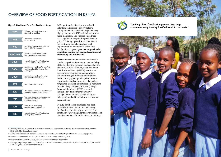

- i Ministry of Health representation included Division of Nutrition and Dietetics, Division of Food Safety, and the National Public Health Laboratory
- ii Kenya Medical Research Institute and the Jomo Kenyatta University of Agriculture and Technology (JKUAT)
- iii Nutrition International and the Global Alliance for Improved Nutrition (GAIN)
- iv United Nations Children's Fund (UNICEF) and the World Food Programme
- v In Kenya, all packaged wheat and maize flour are fortified with iron, zinc, folic acid, vitamins A, B1, B2, B3, B6 and B12. Edible oils/fats are fortified with vitamin A.



In Kenya, food fortification started with voluntary salt iodization in 1972 after a survey carried out in 1962-64 reported very high goitre rates. In 1978, salt iodization was made mandatory and subsequently, there was a significant drop in the prevalence of goitre.12 Building upon this success, Kenya has continued to make progress in all implementation components of the food fortification program: **governance, production, regulatory monitoring, demand creation, and monitoring and evaluation.**<sup>12</sup>

**Governance** encompasses the creation of a conducive policy environment, sustainability of the fortification program, and coordination of actors. In 2005, the Kenya National Food Fortification Alliance (KNFFA) was formed to spearhead planning, implementation, and monitoring of fortification initiatives in the country, guide public-private sector coordination, and advocate to policymakers for greater attention to fortification. Members included Kenya Ministry of Health;<sup>i</sup> Kenya Bureau of Standards (KEBS); research institutions;<sup>ii</sup> development partners;<sup>iii</sup> UN agencies;<sup>iv</sup> umbrella bodies for cereal millers, salt and oil industries; and consumer organizations.

By 2012, fortification standards had been set and legislation passed for mandatory fortification of maize, wheat, and oil.<sup>v</sup> The timeline in Figure 1 highlights key milestones of the advancement of food fortification in Kenya.

## OVERVIEW OF FOOD FORTIFICATION IN KENYA

### **Figure 1: Timeline of Food Fortification in Kenya**



**The Kenya food fortification program logo helps consumers easily identify fortified foods in the market.**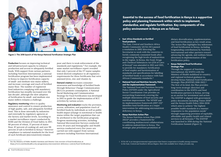

**Figure 2: The 2018 launch of the Kenya National Fortification Strategic Plan**

**Production** focuses on improving technical and infrastructural capacity to enhance production and access to adequately fortified foods. With support from various partners including Nutrition International, a national fortification program has been implemented in Kenya to improve fortification capacity of small- and medium-size maize millers, and increase coverage and reach of fortified maize flour. The number of registered food industries complying with mandatory fortification has steadily increased over the last decadei , although the slow adoption of fortification by small- and medium-size maize millers remains a challenge.

**Regulatory monitoring** refers to quality assurance and control to ensure production of high quality, safe, and adequately fortified food. This is done internally by industries and externally by regulatory agencies at the factory and market levels. According to a market surveillance report conducted by KEBS and the Division of Food Safety in 2017, 80 percent of wheat, 37 percent of maize flour, 87 percent of cooking oil, and over 99 percent of salt is fortified in Kenya.12 However compliance to national standards for the level of each fortificant (micronutrient) remains

The East, Central and Southern Africa Health Communityi (ECSA-HC) passed a resolution in 2002 directing the Secretariat to work with the countries to fortify commonly consumed foods after recognizing the high levels of malnutrition in the region. In Kenya, the Food, Drugs and Chemical Substances Act (254 of Laws of Kenya)<sup>13</sup> was amended in 2012 and 2015, to provide for mandatory fortification of food staples and harmonization of standards and specifications for labelling of fortified foods in accordance with East African Community standards.<sup>14</sup>

poor and there is weak enforcement of the standards and regulations.12 For example, the same market surveillance report revealed that only 2 percent of the 177 maize samples tested showed compliance to all regulatory requirements for three fortificants that were assessed (iron, zinc and vitamin A).

**Demand creation** increases consumer awareness and knowledge of fortified foods through Behaviour Change Communication (BCC) to promote consumption. A National Social Marketing and Communication Strategy for Food Fortification was developed in 2015 to guide the implementation of BCC activities by various actors.

**Monitoring and evaluation** tracks the provision, access, utilization, and population reach of fortified foods by individuals as well as public health impact (change in nutritional or health status within the target population that can be attributed to the fortification program). Progress monitoring activities, including National Micronutrient Surveys conducted every 10 years and Demographic and Health surveys conducted every five years—are carried out with support from various partners including Nutrition International.

## **• East Africa Standards on fortified food products**

- **• National Food and Nutrition Security Policy and the implementation framework** The National Food and Nutrition Security Policy (NFNSP) under the Agricultural Sector Coordination Unit provides an overarching framework covering the multiple dimensions of food security and nutrition improvement. The NFNSP and its implementation framework (2017-22)15 identifies food fortification as a major intervention for addressing micronutrient deficiency in Kenya.
- **• Kenya Nutrition Action Plan** The Kenya Nutrition Action Plan (2018- 2022)16 provides a framework for coordinating multisectoral collaborations to address malnutrition in Kenya. The strategic plan prioritizes promotion of

dietary diversification, supplementation, and food fortification as key result areas. The Action Plan highlights key milestones of food fortification in Kenya, including longstanding contributions by Nutrition International and other partners toward advancing the agenda, and outlines future directions in implementation of the fortification policy.

### **• Kenya National Food Fortification Strategic Plan**

Through the support of Nutrition International, the KNFFA with the Ministry of Health mobilized in-country and regional technical guidance to develop Kenya National Food Fortification Strategic Plan (KNFFSP) 2018-2022.12 The first of its kind, the Plan provides long-term strategic direction and coordination to the KNFFA and food fortification partners in Kenya, serving as an anchor for investment and action. The KNFFSP is aligned with government policy documents including Vision 203017 and the Kenya Health Policy 2014-2030 which aims to achieve "the highest possible health standards in a manner responsive to the population needs" through supporting provision of equitable, affordable and quality health and related services to all Kenyans.18 The KNFFSP was launched in 2018 during the National Fortification Summit (Figure 2).

**Essential to the success of food fortification in Kenya is a supportive policy and planning framework within which to implement, standardize, and regulate fortification. Key components of the policy environment in Kenya are as follows:**

i See the Ministry of Public Health's Nutrition and Dietetic Unit overview of food fortification at: https://www.nutritionhealth.or.ke/programmes/micronutrient-deficiency-control/food-fortification/

i ECSA-HC is an intergovernmental organization that fosters cooperation in health among countries in the East, Central and Southern African Region. More info available here: https://ecsahc.org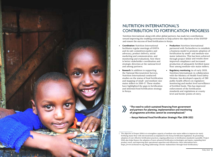![](_page_4_Picture_0.jpeg)

- **• Coordination:** Nutrition International facilitates regular meetings of KNFFA and its sub-committees (policy and advocacy, product delivery, social marketing and communication, and monitoring and evaluation). Now there is better stakeholder coordination and strategic direction at the national level and among partners.
- **• Research:** In addition to supporting the National Micronutrient Surveys, Nutrition International conducted studies on the status of food fortification and mapping of small- and medium-size maize millers in 2016-17. These studies have highlighted the gaps in fortification and informed food fortification strategy in Kenya. Coordination: Nutrition International<br> **Stachabon (Archiven Stachabon Control** and its sub-conmutite goolicy and<br>
and the subside substrates (policy and a business model to promote adopt<br>marked in a malnutrical monotoning

partnered with TechnoServe to establish a business model to promote adoption of fortification by small- and medium-size maize industries. This has been achieved through project SIMA i and results show improved compliance and increased production of adequately fortified maize flour among medium-size maize millers.

**• Regulatory monitoring:** As of early 2020, Nutrition International, in collaboration with the Ministry of Health Food Safety Division, has developed capacity of 280 public health officers on regulatory monitoring and market level surveillance of fortified foods. This has improved enforcement of the fortification standards and regulations at county level and border points of entry.

## NUTRITION INTERNATIONAL'S CONTRIBUTION TO FORTIFICATION PROGRESS

Nutrition International, along with other global partners, has made key contributions toward improving the enabling environment to help achieve the objectives of the KNFFSP and ensure the success of food fortification in Kenya.

**"The need to solicit sustained financing from government and partners for planning, implementation and monitoring of programme activities cannot be overemphasized."**

**– Kenya National Food Fortification Strategic Plan 2018-2022**

i The objective of Project SIMA is to strengthen capacity of medium-size maize millers to improve (or start) fortifying maize flour with micronutrients as stipulated in the Kenya fortification legislation. By promoting adoption of cost-effective fortification practices, ongoing adherence to fortification standards is possible. Project SIMA also helps finance the adoption of more advanced fortification technologies and inputs, expanding their product reach, and improving their operational capacities and efficiencies. More information here: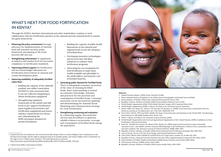![](_page_5_Picture_16.jpeg)

### **References**

- **1.** Global Nutrition Report. (2019). Kenya Nutrition Profile.
- **2.** Kenya National Bureau of Statistics et al. (2014). Kenya Demographic and Health Survey (KDHS).
- **3.** Kenya Ministry of Health. (2011). Kenya National Micronutrient Survey 2011.
- **4.** Republic of Kenya. Ministry of Health. (2016). Kenya Malaria Indicator Survey 2015.
- **5.** World Health Organization (2014). WHA Global Nutrition Targets 2025: Anaemia Policy Brief.
- **6.** World Health Organization (2019) e-Library of Evidence for Nutrition Actions: Nutrients.
- **7.** Eicher-Miller HA, Mason AC, Weaver CM, McCabe GP, Boushey CJ. (2009). Food insecurity is associated with iron deficiency anemia in US adolescents. Am J Clin Nutr. 90(5):1358–1371.
- **8.** FAO, IFAD, UNICEF, WFP and WHO. (2020). The State of Food Security and Nutrition in the World 2020. Transforming food systems for affordable healthy diets. Rome, FAO.
- **9.** WHO e-Library of Evidence for Nutrition Actions (eLENA). (2019).
- **10.** World Health Organization and Food and Agricultural Organization of the United Nations. (2006). Guidelines on food fortification with micronutrients.
- **11.** Keats EC, Neufeld LM, Garrett GS, Mbuya MNN, Bhutta ZA. (2019). Improved micronutrient status and health outcomes in low- and middle-income countries following large-scale fortification: evidence from a systematic review and meta-analysis. The American Journal of Clinical Nutrition. 109(6): 1696–1708.
- **12.** Republic of Kenya. Ministry of Health. (2018). Kenya National Food Fortification Strategic Plan 2018-2022.
- **13.** Laws of Kenya. Act No: CAP 254. Food, Drugs, and Chemical Substances. (2002).
- **14.** THE FOOD, DRUGS AND CHEMICAL SUBSTANCES ACT legal notice number 157 of 24th July 2015.
- **15.** Republic of Kenya. National Food and Nutrition Security Policy Implementation Framework 2017-2022. (2017). **16.** Kenya Ministry of Public Health and Sanitation (2018). Kenya Nutrition Action Plan (2018-2022).
- 
- **17.** Government of Kenya. (2008). Kenya Vision 2030.
- **18.** Republic of Kenya. Ministry of Health. (2014). Kenya Health Policy 2014-2030.

- **• Enhancing the policy environment** through advocacy for implementation of national food and nutrition security policy framework and passing of the Food Security Bill<sup>i</sup> into law.
- **• Strengthening enforcement** of regulations at industry and market level for increased compliance to fortification standards.
- **• Improving political support** for fortification and increased budget allocation for fortification interventions in national and county development plans.
- **• Improving availability of adequately fortified maize flour:** 
	- » Building the capacity of the umbrella medium-size miller's association (UGMAii) to raise awareness that it can use collective bargaining to obtain fortification equipment.
	- » Strengthening regulatory frameworks at the market and mill levels to pre-approve fortification input suppliers (of premixes and fortification equipment) and ensure industry requirements are always met; disseminating the KEBS-developed standard for premix formulation.

ii United Grain Millers Association (UGMA)

- » Building the capacity of public health laboratories at the national and regional levels to test the adequacy of fortified flour.
- » Developing innovative technologies and services that will allow industries to enhance their fortification programs.
- » Advocating for tax exemptions for food fortificants to make them readily available and affordable to the small millers, and keep the cost of fortified food low.
- **• Generating public demand for fortified foods.** There is suboptimal consumer awareness of the value of choosing fortified foods. More understanding is needed on consumer knowledge, attitudes, and practices for the purchase and consumption of fortified foods. Consumer awareness can be increased by updating and disseminating the National Social Marketing and Communication Strategy for Food Fortification.
- **• Strengthening monitoring and evaluation** by conducting regular micronutrient surveys and surveillance to generate reliable evidence on provision, coverage, and consumption of fortified foods among the population.

## WHAT'S NEXT FOR FOOD FORTIFICATION IN KENYA?

Through the KNFFA, Nutrition International and other stakeholders continue to seek collaboration with key fortification partners at the national and sub-national levels to sustain the gains achieved by:

i If passed into law by Parliament, the Food Security Bill will give effect to Article 43(1)(c) of the Constitution on the freedom from hunger and the right to adequate food of acceptable quality, and Article 53(1)(c) of the Constitution on the right of every child to basic nutrition. The draft bill can be accessed at http://kenyalaw.org/kl/fileadmin/pdfdownloads/bills/2017/FoodSecurityBill\_2017.pdf